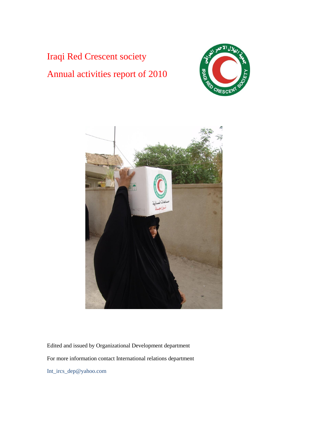Iraqi Red Crescent society Annual activities report of 2010





Edited and issued by Organizational Development department For more information contact International relations department Int\_ircs\_dep@yahoo.com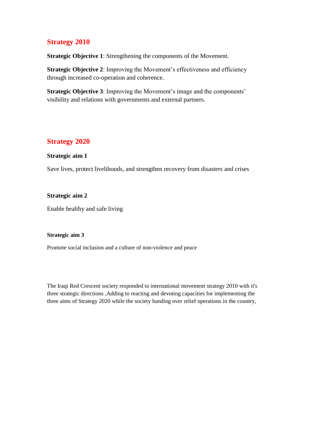# **Strategy 2010**

**Strategic Objective 1**: Strengthening the components of the Movement.

**Strategic Objective 2:** Improving the Movement's effectiveness and efficiency through increased co-operation and coherence.

**Strategic Objective 3**: Improving the Movement's image and the components' visibility and relations with governments and external partners.

# **Strategy 2020**

## **Strategic aim 1**

Save lives, protect livelihoods, and strengthen recovery from disasters and crises

## **Strategic aim 2**

Enable healthy and safe living

### **Strategic aim 3**

Promote social inclusion and a culture of non-violence and peace

The Iraqi Red Crescent society responded to international movement strategy 2010 with it's three strategic directions ,Adding to reacting and devoting capacities for implementing the three aims of Strategy 2020 while the society handing over relief operations in the country,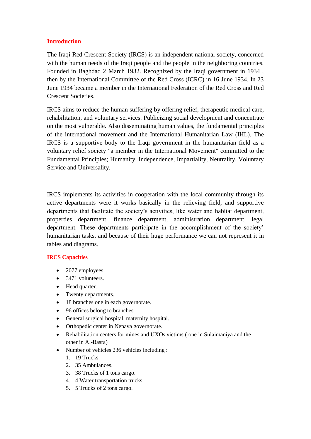# **Introduction**

The Iraqi Red Crescent Society (IRCS) is an independent national society, concerned with the human needs of the Iraqi people and the people in the neighboring countries. Founded in Baghdad 2 March 1932. Recognized by the Iraqi government in 1934 , then by the International Committee of the Red Cross (ICRC) in 16 June 1934. In 23 June 1934 became a member in the International Federation of the Red Cross and Red Crescent Societies.

IRCS aims to reduce the human suffering by offering relief, therapeutic medical care, rehabilitation, and voluntary services. Publicizing social development and concentrate on the most vulnerable. Also disseminating human values, the fundamental principles of the international movement and the International Humanitarian Law (IHL). The IRCS is a supportive body to the Iraqi government in the humanitarian field as a voluntary relief society "a member in the International Movement" committed to the Fundamental Principles; Humanity, Independence, Impartiality, Neutrality, Voluntary Service and Universality.

IRCS implements its activities in cooperation with the local community through its active departments were it works basically in the relieving field, and supportive departments that facilitate the society's activities, like water and habitat department, properties department, finance department, administration department, legal department. These departments participate in the accomplishment of the society' humanitarian tasks, and because of their huge performance we can not represent it in tables and diagrams.

### **IRCS Capacities**

- 2077 employees.
- 3471 volunteers.
- Head quarter.
- Twenty departments.
- 18 branches one in each governorate.
- 96 offices belong to branches.
- General surgical hospital, maternity hospital.
- Orthopedic center in Nenava governorate.
- Rehabilitation centers for mines and UXOs victims ( one in Sulaimaniya and the other in Al-Basra)
- Number of vehicles 236 vehicles including :
	- 1. 19 Trucks.
	- 2. 35 Ambulances.
	- 3. 38 Trucks of 1 tons cargo.
	- 4. 4 Water transportation trucks.
	- 5. 5 Trucks of 2 tons cargo.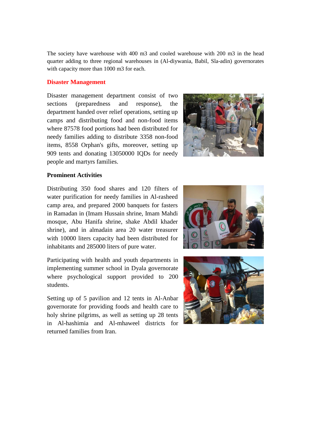The society have warehouse with 400 m3 and cooled warehouse with 200 m3 in the head quarter adding to three regional warehouses in (Al-diywania, Babil, Sla-adin) governorates with capacity more than 1000 m3 for each.

### **Disaster Management**

Disaster management department consist of two sections (preparedness and response), the department handed over relief operations, setting up camps and distributing food and non-food items where 87578 food portions had been distributed for needy families adding to distribute 3358 non-food items, 8558 Orphan's gifts, moreover, setting up 909 tents and donating 13050000 IQDs for needy people and martyrs families.



### **Prominent Activities**

Distributing 350 food shares and 120 filters of water purification for needy families in Al-rasheed camp area, and prepared 2000 banquets for fasters in Ramadan in (Imam Hussain shrine, Imam Mahdi mosque, Abu Hanifa shrine, shake Abdil khader shrine), and in almadain area 20 water treasurer with 10000 liters capacity had been distributed for inhabitants and 285000 liters of pure water.

Participating with health and youth departments in implementing summer school in Dyala governorate where psychological support provided to 200 students.

Setting up of 5 pavilion and 12 tents in Al-Anbar governorate for providing foods and health care to holy shrine pilgrims, as well as setting up 28 tents in Al-hashimia and Al-mhaweel districts for returned families from Iran.



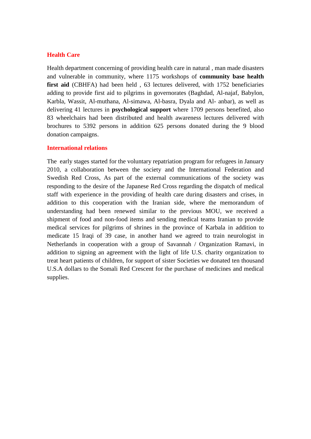# **Health Care**

Health department concerning of providing health care in natural , man made disasters and vulnerable in community, where 1175 workshops of **community base health first aid** (CBHFA) had been held , 63 lectures delivered, with 1752 beneficiaries adding to provide first aid to pilgrims in governorates (Baghdad, Al-najaf, Babylon, Karbla, Wassit, Al-muthana, Al-simawa, Al-basra, Dyala and Al- anbar), as well as delivering 41 lectures in **psychological support** where 1709 persons benefited, also 83 wheelchairs had been distributed and health awareness lectures delivered with brochures to 5392 persons in addition 625 persons donated during the 9 blood donation campaigns.

#### **International relations**

The early stages started for the voluntary repatriation program for refugees in January 2010, a collaboration between the society and the International Federation and Swedish Red Cross, As part of the external communications of the society was responding to the desire of the Japanese Red Cross regarding the dispatch of medical staff with experience in the providing of health care during disasters and crises, in addition to this cooperation with the Iranian side, where the memorandum of understanding had been renewed similar to the previous MOU, we received a shipment of food and non-food items and sending medical teams Iranian to provide medical services for pilgrims of shrines in the province of Karbala in addition to medicate 15 Iraqi of 39 case, in another hand we agreed to train neurologist in Netherlands in cooperation with a group of Savannah / Organization Ramavi, in addition to signing an agreement with the light of life U.S. charity organization to treat heart patients of children, for support of sister Societies we donated ten thousand U.S.A dollars to the Somali Red Crescent for the purchase of medicines and medical supplies.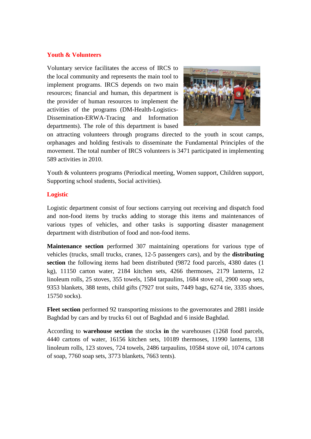## **Youth & Volunteers**

Voluntary service facilitates the access of IRCS to the local community and represents the main tool to implement programs. IRCS depends on two main resources; financial and human, this department is the provider of human resources to implement the activities of the programs (DM-Health-Logistics-Dissemination-ERWA-Tracing and Information departments). The role of this department is based



on attracting volunteers through programs directed to the youth in scout camps, orphanages and holding festivals to disseminate the Fundamental Principles of the movement. The total number of IRCS volunteers is 3471 participated in implementing 589 activities in 2010.

Youth & volunteers programs (Periodical meeting, Women support, Children support, Supporting school students, Social activities).

### **Logistic**

Logistic department consist of four sections carrying out receiving and dispatch food and non-food items by trucks adding to storage this items and maintenances of various types of vehicles, and other tasks is supporting disaster management department with distribution of food and non-food items.

**Maintenance section** performed 307 maintaining operations for various type of vehicles (trucks, small trucks, cranes, 12-5 passengers cars), and by the **distributing section** the following items had been distributed (9872 food parcels, 4380 dates (1 kg), 11150 carton water, 2184 kitchen sets, 4266 thermoses, 2179 lanterns, 12 linoleum rolls, 25 stoves, 355 towels, 1584 tarpaulins, 1684 stove oil, 2900 soap sets, 9353 blankets, 388 tents, child gifts (7927 trot suits, 7449 bags, 6274 tie, 3335 shoes, 15750 socks).

**Fleet section** performed 92 transporting missions to the governorates and 2881 inside Baghdad by cars and by trucks 61 out of Baghdad and 6 inside Baghdad.

According to **warehouse section** the stock**s in** the warehouses (1268 food parcels, 4440 cartons of water, 16156 kitchen sets, 10189 thermoses, 11990 lanterns, 138 linoleum rolls, 123 stoves, 724 towels, 2486 tarpaulins, 10584 stove oil, 1074 cartons of soap, 7760 soap sets, 3773 blankets, 7663 tents).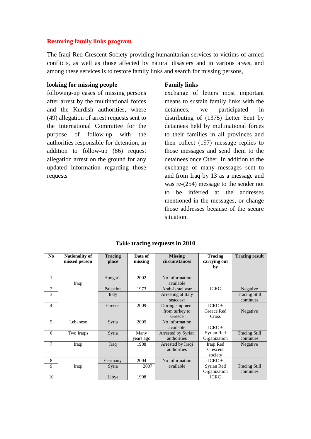### **Restoring family links program**

The Iraqi Red Crescent Society providing humanitarian services to victims of armed conflicts, as well as those affected by natural disasters and in various areas, and among these services is to restore family links and search for missing persons,

#### **looking for missing people**

following-up cases of missing persons after arrest by the multinational forces and the Kurdish authorities, where (49) allegation of arrest requests sent to the International Committee for the purpose of follow-up with the authorities responsible for detention, in addition to follow-up (86) request allegation arrest on the ground for any updated information regarding those requests

### **Family links**

exchange of letters most important means to sustain family links with the detainees, we participated in distributing of (1375) Letter Sent by detainees held by multinational forces to their families in all provinces and then collect (197) message replies to those messages and send them to the detainees once Other. In addition to the exchange of many messages sent to and from Iraq by 13 as a message and was re-(254) message to the sender not to be inferred at the addresses mentioned in the messages, or change those addresses because of the secure situation.

| No             | <b>Nationality of</b> | <b>Tracing</b> | Date of   | <b>Missing</b>     | <b>Tracing</b> | <b>Tracing result</b> |
|----------------|-----------------------|----------------|-----------|--------------------|----------------|-----------------------|
|                | missed person         | place          | missing   | circumstances      | carrying out   |                       |
|                |                       |                |           |                    | by             |                       |
|                |                       |                |           |                    |                |                       |
| 1              |                       | Hungaria       | 2002      | No information     |                |                       |
|                | Iraqi                 |                |           | available          |                |                       |
| 2              |                       | Palestine      | 1973      | Arab-Israel war    | <b>ICRC</b>    | Negative              |
| 3              |                       | Italy          |           | Arresting at Italy |                | <b>Tracing Still</b>  |
|                |                       |                |           | seacoast           |                | continues             |
| $\overline{4}$ |                       | Greece         | 2009      | During shipment    | $ICRC +$       |                       |
|                |                       |                |           | from turkey to     | Greece Red     | Negative              |
|                |                       |                |           | Greece             | Cross          |                       |
| 5              | Lebanese              | Syria          | 2009      | No information     |                |                       |
|                |                       |                |           | available          | $ICRC +$       |                       |
| 6              | Two Iraqis            | Syria          | Many      | Arrested by Syrian | Syrian Red     | <b>Tracing Still</b>  |
|                |                       |                | years ago | authorities        | Organization   | continues             |
| $\overline{7}$ | Iraqi                 | Iraq           | 1988      | Arrested by Iraqi  | Iraqi Red      | Negative              |
|                |                       |                |           | authorities        | Crescent       |                       |
|                |                       |                |           |                    | society        |                       |
| 8              |                       | Germany        | 2004      | No information     | $ICRC +$       |                       |
| 9              | Iraqi                 | Syria          | 2007      | available          | Syrian Red     | <b>Tracing Still</b>  |
|                |                       |                |           |                    | Organization   | continues             |
| 10             |                       | Libya          | 1998      |                    | <b>ICRC</b>    |                       |

#### **Table tracing requests in 2010**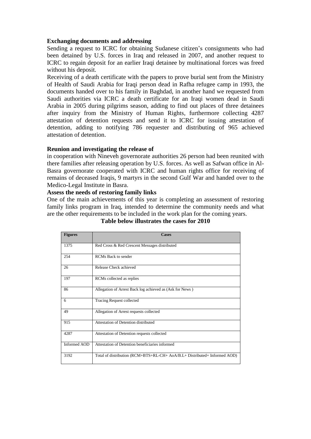### **Exchanging documents and addressing**

Sending a request to ICRC for obtaining Sudanese citizen's consignments who had been detained by U.S. forces in Iraq and released in 2007, and another request to ICRC to regain deposit for an earlier Iraqi detainee by multinational forces was freed without his deposit.

Receiving of a death certificate with the papers to prove burial sent from the Ministry of Health of Saudi Arabia for Iraqi person dead in Rafha refugee camp in 1993, the documents handed over to his family in Baghdad, in another hand we requested from Saudi authorities via ICRC a death certificate for an Iraqi women dead in Saudi Arabia in 2005 during pilgrims season, adding to find out places of three detainees after inquiry from the Ministry of Human Rights, furthermore collecting 4287 attestation of detention requests and send it to ICRC for issuing attestation of detention, adding to notifying 786 requester and distributing of 965 achieved attestation of detention.

#### **Reunion and investigating the release of**

in cooperation with Nineveh governorate authorities 26 person had been reunited with there families after releasing operation by U.S. forces. As well as Safwan office in Al-Basra governorate cooperated with ICRC and human rights office for receiving of remains of deceased Iraqis, 9 martyrs in the second Gulf War and handed over to the Medico-Legal Institute in Basra.

### **Assess the needs of restoring family links**

One of the main achievements of this year is completing an assessment of restoring family links program in Iraq, intended to determine the community needs and what are the other requirements to be included in the work plan for the coming years.

| <b>Figures</b>      | <b>Cases</b>                                                              |
|---------------------|---------------------------------------------------------------------------|
| 1375                | Red Cross & Red Crescent Messages distributed                             |
| 254                 | <b>RCMs</b> Back to sender                                                |
| 26                  | Release Check achieved                                                    |
| 197                 | RCMs collected as replies                                                 |
| 86                  | Allegation of Arrest Back log achieved as (Ask for News)                  |
| 6                   | Tracing Request collected                                                 |
| 49                  | Allegation of Arrest requests collected                                   |
| 915                 | Attestation of Detention distributed                                      |
| 4287                | Attestation of Detention requests collected                               |
| <b>Informed AOD</b> | Attestation of Detention beneficiaries informed                           |
| 3192                | Total of distribution (RCM+BTS+RL-CH+ AoA/B.L+ Distributed+ Informed AOD) |

#### **Table below illustrates the cases for 2010**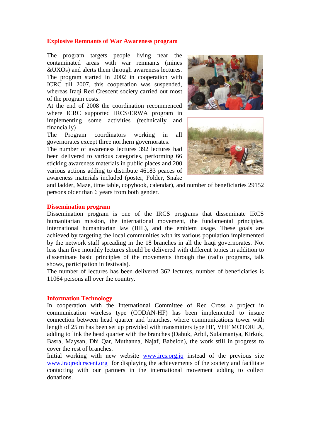#### **Explosive Remnants of War Awareness program**

The program targets people living near the contaminated areas with war remnants (mines &UXOs) and alerts them through awareness lectures. The program started in 2002 in cooperation with ICRC till 2007, this cooperation was suspended, whereas Iraqi Red Crescent society carried out most of the program costs.

At the end of 2008 the coordination recommenced where ICRC supported IRCS/ERWA program in implementing some activities (technically and financially)

The Program coordinators working in all governorates except three northern governorates.

The number of awareness lectures 392 lectures had been delivered to various categories, performing 66 sticking awareness materials in public places and 200 various actions adding to distribute 46183 peaces of awareness materials included (poster, Folder, Snake





and ladder, Maze, time table, copybook, calendar), and number of beneficiaries 29152 persons older than 6 years from both gender.

#### **Dissemination program**

Dissemination program is one of the IRCS programs that disseminate IRCS humanitarian mission, the international movement, the fundamental principles, international humanitarian law (IHL), and the emblem usage. These goals are achieved by targeting the local communities with its various population implemented by the network staff spreading in the 18 branches in all the Iraqi governorates. Not less than five monthly lectures should be delivered with different topics in addition to disseminate basic principles of the movements through the (radio programs, talk shows, participation in festivals).

The number of lectures has been delivered 362 lectures, number of beneficiaries is 11064 persons all over the country.

#### **Information Technology**

In cooperation with the International Committee of Red Cross a project in communication wireless type (CODAN-HF) has been implemented to insure connection between head quarter and branches, where communications tower with length of 25 m has been set up provided with transmitters type HF, VHF MOTORLA, adding to link the head quarter with the branches (Dahuk, Arbil, Sulaimaniya, Kirkuk, Basra, Maysan, Dhi Qar, Muthanna, Najaf, Babelon), the work still in progress to cover the rest of branches.

Initial working with new website [www.ircs.org.iq](http://www.ircs.org.iq/) instead of the previous site [www.iraqredcrscent.org](http://www.iraqredcrscent.org/) for displaying the achievements of the society and facilitate contacting with our partners in the international movement adding to collect donations.